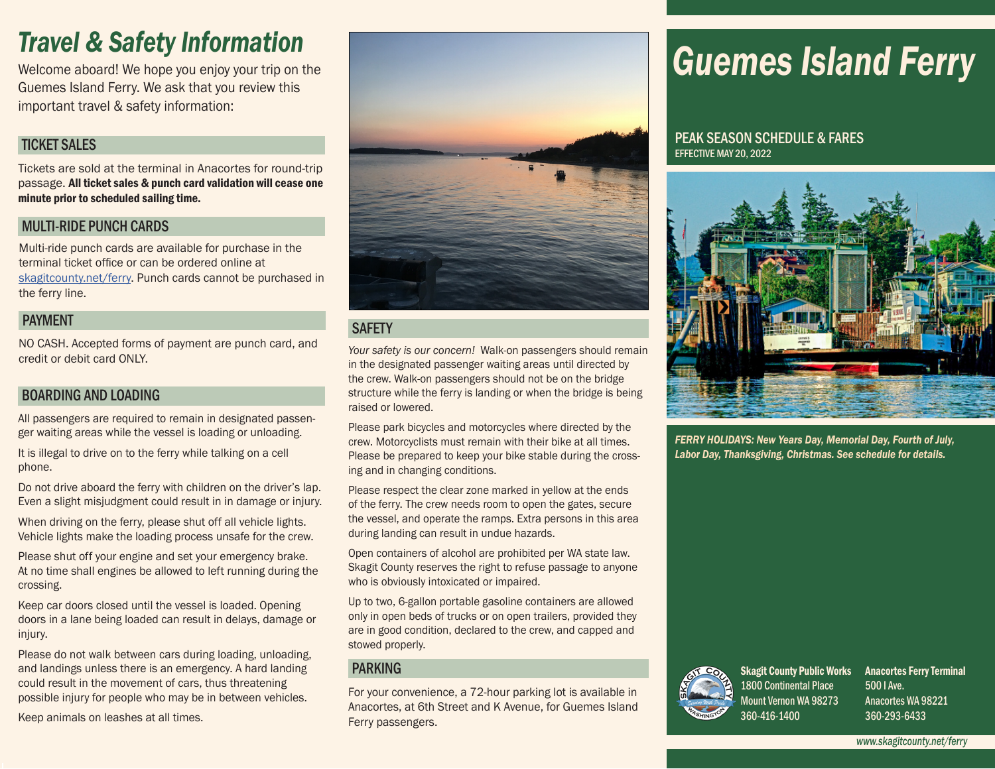## *Travel & Safety Information*

Welcome aboard! We hope you enjoy your trip on the Guemes Island Ferry. We ask that you review this important travel & safety information:

#### TICKET SALES

Tickets are sold at the terminal in Anacortes for round-trip passage. All ticket sales & punch card validation will cease one minute prior to scheduled sailing time.

#### MULTI-RIDE PUNCH CARDS

Multi-ride punch cards are available for purchase in the terminal ticket office or can be ordered online at [skagitcounty.net/ferry](http://skagitcounty.net/ferry). Punch cards cannot be purchased in the ferry line.

#### PAYMENT

NO CASH. Accepted forms of payment are punch card, and credit or debit card ONLY.

#### BOARDING AND LOADING

All passengers are required to remain in designated passenger waiting areas while the vessel is loading or unloading.

It is illegal to drive on to the ferry while talking on a cell phone.

Do not drive aboard the ferry with children on the driver's lap. Even a slight misjudgment could result in in damage or injury.

When driving on the ferry, please shut off all vehicle lights. Vehicle lights make the loading process unsafe for the crew.

Please shut off your engine and set your emergency brake. At no time shall engines be allowed to left running during the crossing.

Keep car doors closed until the vessel is loaded. Opening doors in a lane being loaded can result in delays, damage or injury.

Please do not walk between cars during loading, unloading, and landings unless there is an emergency. A hard landing could result in the movement of cars, thus threatening possible injury for people who may be in between vehicles.

Keep animals on leashes at all times.



#### **SAFETY**

*Your safety is our concern!* Walk-on passengers should remain in the designated passenger waiting areas until directed by the crew. Walk-on passengers should not be on the bridge structure while the ferry is landing or when the bridge is being raised or lowered.

Please park bicycles and motorcycles where directed by the crew. Motorcyclists must remain with their bike at all times. Please be prepared to keep your bike stable during the crossing and in changing conditions.

Please respect the clear zone marked in yellow at the ends of the ferry. The crew needs room to open the gates, secure the vessel, and operate the ramps. Extra persons in this area during landing can result in undue hazards.

Open containers of alcohol are prohibited per WA state law. Skagit County reserves the right to refuse passage to anyone who is obviously intoxicated or impaired.

Up to two, 6-gallon portable gasoline containers are allowed only in open beds of trucks or on open trailers, provided they are in good condition, declared to the crew, and capped and stowed properly.

#### PARKING

For your convenience, a 72-hour parking lot is available in Anacortes, at 6th Street and K Avenue, for Guemes Island Ferry passengers.

# *Guemes Island Ferry*

#### PEAK SEASON SCHEDULE & FARES EFFECTIVE MAY 20, 2022



*FERRY HOLIDAYS: New Years Day, Memorial Day, Fourth of July, Labor Day, Thanksgiving, Christmas. See schedule for details.*



Skagit County Public Works Anacortes Ferry Terminal 1800 Continental Place Mount Vernon WA 98273 360-416-1400

500 I Ave. Anacortes WA 98221 360-293-6433